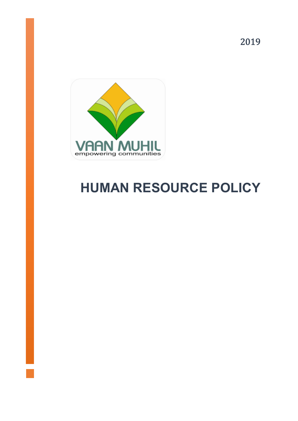2019



# **HUMAN RESOURCE POLICY**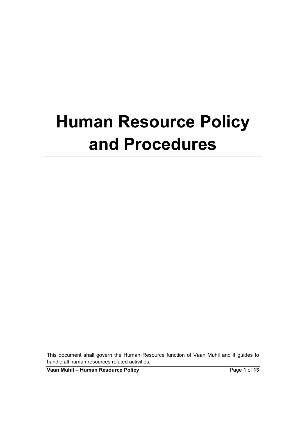# **Human Resource Policy and Procedures**

This document shall govern the Human Resource function of Vaan Muhil and it guides to handle all human resources related activities.

**Vaan Muhil – Human Resource Policy** Page **1** of **13**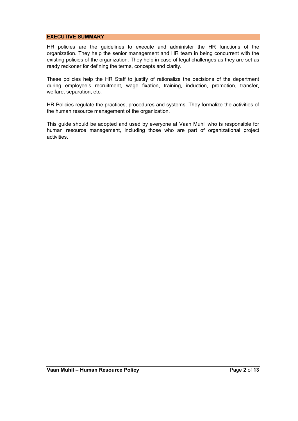# **EXECUTIVE SUMMARY**

HR policies are the guidelines to execute and administer the HR functions of the organization. They help the senior management and HR team in being concurrent with the existing policies of the organization. They help in case of legal challenges as they are set as ready reckoner for defining the terms, concepts and clarity.

These policies help the HR Staff to justify of rationalize the decisions of the department during employee's recruitment, wage fixation, training, induction, promotion, transfer, welfare, separation, etc.

HR Policies regulate the practices, procedures and systems. They formalize the activities of the human resource management of the organization.

This guide should be adopted and used by everyone at Vaan Muhil who is responsible for human resource management, including those who are part of organizational project activities.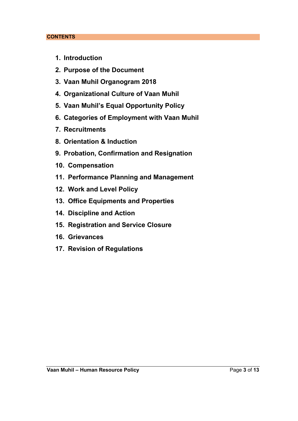# **CONTENTS**

- **1. Introduction**
- **2. Purpose of the Document**
- **3. Vaan Muhil Organogram 2018**
- **4. Organizational Culture of Vaan Muhil**
- **5. Vaan Muhil's Equal Opportunity Policy**
- **6. Categories of Employment with Vaan Muhil**
- **7. Recruitments**
- **8. Orientation & Induction**
- **9. Probation, Confirmation and Resignation**
- **10. Compensation**
- **11. Performance Planning and Management**
- **12. Work and Level Policy**
- **13. Office Equipments and Properties**
- **14. Discipline and Action**
- **15. Registration and Service Closure**
- **16. Grievances**
- **17. Revision of Regulations**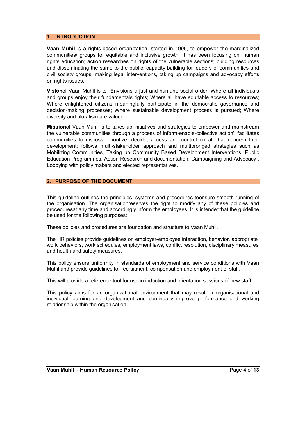# **1. INTRODUCTION**

**Vaan Muhil** is a rights-based organization, started in 1995, to empower the marginalized communities/ groups for equitable and inclusive growth. It has been focusing on: human rights education; action researches on rights of the vulnerable sections; building resources and disseminating the same to the public; capacity building for leaders of communities and civil society groups, making legal interventions, taking up campaigns and advocacy efforts on rights issues.

**Vision**of Vaan Muhil is to "Envisions a just and humane social order: Where all individuals and groups enjoy their fundamentals rights; Where all have equitable access to resources; Where enlightened citizens meaningfully participate in the democratic governance and decision-making processes; Where sustainable development process is pursued; Where diversity and pluralism are valued".

**Mission**of Vaan Muhil is to takes up initiatives and strategies to empower and mainstream the vulnerable communities through a process of inform-enable-collective action'; facilitates communities to discuss, prioritize, decide, access and control on all that concern their development; follows multi-stakeholder approach and multipronged strategies such as Mobilizing Communities, Taking up Community Based Development Interventions, Public Education Programmes, Action Research and documentation, Campaigning and Advocacy , Lobbying with policy makers and elected representatives.

# **2. PURPOSE OF THE DOCUMENT**

This guideline outlines the principles, systems and procedures toensure smooth running of the organisation. The organisationreserves the right to modify any of these policies and proceduresat any time and accordingly inform the employees. It is intendedthat the guideline be used for the following purposes:

These policies and procedures are foundation and structure to Vaan Muhil.

The HR policies provide guidelines on employer-employee interaction, behavior, appropriate work behaviors, work schedules, employment laws, conflict resolution, disciplinary measures and health and safety measures.

This policy ensure uniformity in standards of employment and service conditions with Vaan Muhil and [provide guidelines](https://content.wisestep.com/importance-health-safety-workplace/) for recruitment, compensation and employment of staff.

This will provide a reference tool for use in induction and orientation sessions of new staff.

This policy aims for an organizational environment that may result in organisational and individual learning and development and continually improve performance and working relationship within the organisation.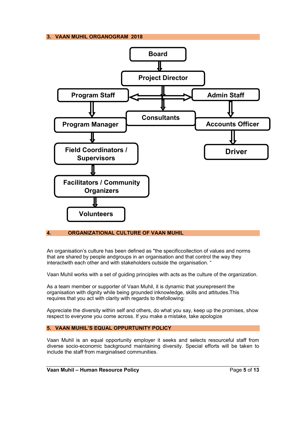**3. VAAN MUHIL ORGANOGRAM 2018**



**4. ORGANIZATIONAL CULTURE OF VAAN MUHIL**

An organisation's culture has been defined as "the specificcollection of values and norms that are shared by people andgroups in an organisation and that control the way they interactwith each other and with stakeholders outside the organisation. "

Vaan Muhil works with a set of guiding principles with acts as the culture of the organization.

As a team member or supporter of Vaan Muhil, it is dynamic that yourepresent the organisation with dignity while being grounded inknowledge, skills and attitudes.This requires that you act with clarity with regards to thefollowing:

Appreciate the diversity within self and others, do what you say, keep up the promises, show respect to everyone you come across. If you make a mistake, take apologize

# **5. VAAN MUHIL'S EQUAL OPPURTUNITY POLICY**

Vaan Muhil is an equal opportunity employer it seeks and selects resourceful staff from diverse socio-economic background maintaining diversity. Special efforts will be taken to include the staff from marginalised communities.

**Vaan Muhil – Human Resource Policy** Page **5** of **13**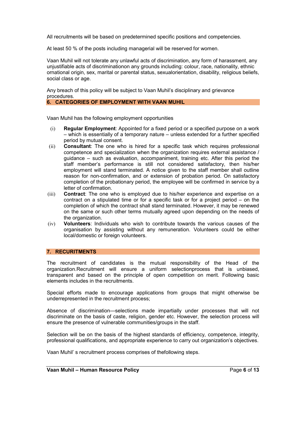All recruitments will be based on predetermined specific positions and competencies.

At least 50 % of the posts including managerial will be reserved for women.

Vaan Muhil will not tolerate any unlawful acts of discrimination, any form of harassment, any unjustifiable acts of discriminationon any grounds including: colour, race, nationality, ethnic ornational origin, sex, marital or parental status, sexualorientation, disability, religious beliefs, social class or age.

Any breach of this policy will be subject to Vaan Muhil's disciplinary and grievance procedures.

# **6. CATEGORIES OF EMPLOYMENT WITH VAAN MUHIL**

Vaan Muhil has the following employment opportunities

- (i) **Regular Employment**: Appointed for a fixed period or a specified purpose on a work – which is essentially of a temporary nature – unless extended for a further specified period by mutual consent.
- (ii) **Consultant**: The one who is hired for a specific task which requires professional competence and specialization when the organization requires external assistance / guidance – such as evaluation, accompaniment, training etc. After this period the staff member's performance is still not considered satisfactory, then his/her employment will stand terminated. A notice given to the staff member shall outline reason for non-confirmation, and or extension of probation period. On satisfactory completion of the probationary period, the employee will be confirmed in service by a letter of confirmation.
- (iii) **Contract**: The one who is employed due to his/her experience and expertise on a contract on a stipulated time or for a specific task or for a project period – on the completion of which the contract shall stand terminated. However, it may be renewed on the same or such other terms mutually agreed upon depending on the needs of the organization.
- (iv) **Volunteers**: Individuals who wish to contribute towards the various causes of the organisation by assisting without any remuneration. Volunteers could be either local/domestic or foreign volunteers.

# **7. RECURITMENTS**

The recruitment of candidates is the mutual responsibility of the Head of the organization.Recruitment will ensure a uniform selectionprocess that is unbiased, transparent and based on the principle of open competition on merit. Following basic elements includes in the recruitments.

Special efforts made to encourage applications from groups that might otherwise be underrepresented in the recruitment process;

Absence of discrimination—selections made impartially under processes that will not discriminate on the basis of caste, religion, gender etc. However, the selection process will ensure the presence of vulnerable communities/groups in the staff.

Selection will be on the basis of the highest standards of efficiency, competence, integrity, professional qualifications, and appropriate experience to carry out organization's objectives.

Vaan Muhil' s recruitment process comprises of thefollowing steps.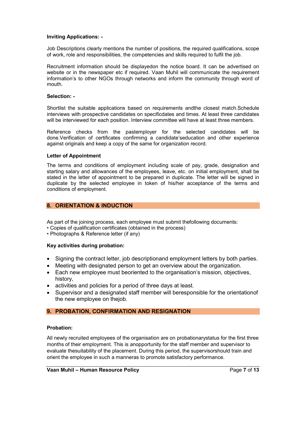# **Inviting Applications: -**

Job Descriptions clearly mentions the number of positions, the required qualifications, scope of work, role and responsibilities, the competencies and skills required to fulfil the job.

Recruitment information should be displayedon the notice board. It can be advertised on website or in the newspaper etc if required. Vaan Muhil will communicate the requirement information's to other NGOs through networks and inform the community through word of mouth.

# **Selection: -**

Shortlist the suitable applications based on requirements andthe closest match.Schedule interviews with prospective candidates on specificdates and times. At least three candidates will be interviewed for each position. Interview committee will have at least three members.

Reference checks from the pastemployer for the selected candidates will be done.Verification of certificates confirming a candidate'seducation and other experience against originals and keep a copy of the same for organization record.

# **Letter of Appointment**

The terms and conditions of employment including scale of pay, grade, designation and starting salary and allowances of the employees, leave, etc. on initial employment, shall be stated in the letter of appointment to be prepared in duplicate. The letter will be signed in duplicate by the selected employee in token of his/her acceptance of the terms and conditions of employment.

# **8. ORIENTATION & INDUCTION**

As part of the joining process, each employee must submit thefollowing documents:

- Copies of qualification certificates (obtained in the process)
- Photographs & Reference letter (if any)

# **Key activities during probation:**

- Signing the contract letter, job descriptionand employment letters by both parties.
- Meeting with designated person to get an overview about the organization.
- Each new employee must beoriented to the organisation's mission, objectives, history,
- activities and policies for a period of three days at least.
- Supervisor and a designated staff member will beresponsible for the orientationof the new employee on thejob.

# **9. PROBATION, CONFIRMATION AND RESIGNATION**

# **Probation:**

All newly recruited employees of the organisation are on probationarystatus for the first three months of their employment. This is anopportunity for the staff member and supervisor to evaluate thesuitability of the placement. During this period, the supervisorshould train and orient the employee in such a manneras to promote satisfactory performance.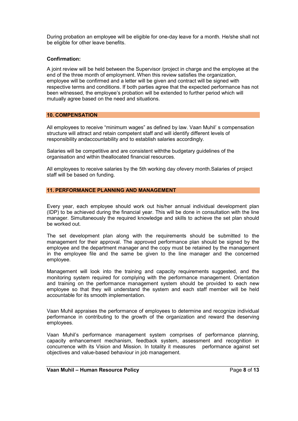During probation an employee will be eligible for one-day leave for a month. He/she shall not be eligible for other leave benefits.

# **Confirmation:**

A joint review will be held between the Supervisor /project in charge and the employee at the end of the three month of employment. When this review satisfies the organization, employee will be confirmed and a letter will be given and contract will be signed with respective terms and conditions. If both parties agree that the expected performance has not been witnessed, the employee's probation will be extended to further period which will mutually agree based on the need and situations.

# **10. COMPENSATION**

All employees to receive "minimum wages" as defined by law. Vaan Muhil' s compensation structure will attract and retain competent staff and will identify different levels of responsibility andaccountability and to establish salaries accordingly.

Salaries will be competitive and are consistent withthe budgetary guidelines of the organisation and within theallocated financial resources.

All employees to receive salaries by the 5th working day ofevery month.Salaries of project staff will be based on funding.

# **11. PERFORMANCE PLANNING AND MANAGEMENT**

Every year, each employee should work out his/her annual individual development plan (IDP) to be achieved during the financial year. This will be done in consultation with the line manager. Simultaneously the required knowledge and skills to achieve the set plan should be worked out.

The set development plan along with the requirements should be submitted to the management for their approval. The approved performance plan should be signed by the employee and the department manager and the copy must be retained by the management in the employee file and the same be given to the line manager and the concerned employee.

Management will look into the training and capacity requirements suggested, and the monitoring system required for complying with the performance management. Orientation and training on the performance management system should be provided to each new employee so that they will understand the system and each staff member will be held accountable for its smooth implementation.

Vaan Muhil appraises the performance of employees to determine and recognize individual performance in contributing to the growth of the organization and reward the deserving employees.

Vaan Muhil's performance management system comprises of performance planning, capacity enhancement mechanism, feedback system, assessment and recognition in concurrence with its Vision and Mission. In totality it measures performance against set objectives and value-based behaviour in job management.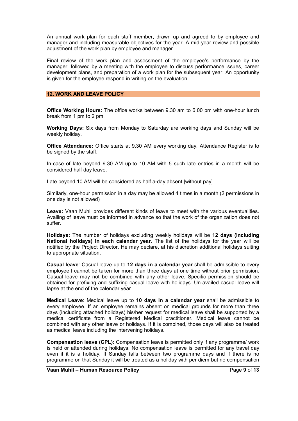An annual work plan for each staff member, drawn up and agreed to by employee and manager and including measurable objectives for the year. A mid-year review and possible adjustment of the work plan by employee and manager.

Final review of the work plan and assessment of the employee's performance by the manager, followed by a meeting with the employee to discuss performance issues, career development plans, and preparation of a work plan for the subsequent year. An opportunity is given for the employee respond in writing on the evaluation.

#### **12. WORK AND LEAVE POLICY**

**Office Working Hours:** The office works between 9.30 am to 6.00 pm with one-hour lunch break from 1 pm to 2 pm.

**Working Days:** Six days from Monday to Saturday are working days and Sunday will be weekly holiday.

**Office Attendance:** Office starts at 9.30 AM every working day. Attendance Register is to be signed by the staff.

In-case of late beyond 9.30 AM up-to 10 AM with 5 such late entries in a month will be considered half day leave.

Late beyond 10 AM will be considered as half a-day absent [without pay].

Similarly, one-hour permission in a day may be allowed 4 times in a month (2 permissions in one day is not allowed)

**Leave:** Vaan Muhil provides different kinds of leave to meet with the various eventualities. Availing of leave must be informed in advance so that the work of the organization does not suffer.

**Holidays:** The number of holidays excluding weekly holidays will be **12 days (including National holidays) in each calendar year**. The list of the holidays for the year will be notified by the Project Director. He may declare, at his discretion additional holidays suiting to appropriate situation.

**Casual leave**: Casual leave up to **12 days in a calendar year** shall be admissible to every employeeIt cannot be taken for more than three days at one time without prior permission. Casual leave may not be combined with any other leave. Specific permission should be obtained for prefixing and suffixing casual leave with holidays. Un-availed casual leave will lapse at the end of the calendar year.

**Medical Leave**: Medical leave up to **10 days in a calendar year** shall be admissible to every employee. If an employee remains absent on medical grounds for more than three days (including attached holidays) his/her request for medical leave shall be supported by a medical certificate from a Registered Medical practitioner. Medical leave cannot be combined with any other leave or holidays. If it is combined, those days will also be treated as medical leave including the intervening holidays.

**Compensation leave (CPL):** Compensation leave is permitted only if any programme/ work is held or attended during holidays. No compensation leave is permitted for any travel day even if it is a holiday. If Sunday falls between two programme days and if there is no programme on that Sunday it will be treated as a holiday with per diem but no compensation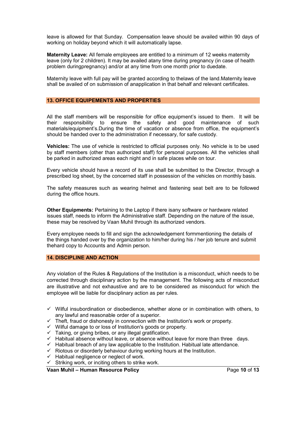leave is allowed for that Sunday. Compensation leave should be availed within 90 days of working on holiday beyond which it will automatically lapse.

**Maternity Leave:** All female employees are entitled to a minimum of 12 weeks maternity leave (only for 2 children). It may be availed atany time during pregnancy (in case of health problem duringpregnancy) and/or at any time from one month prior to duedate.

Maternity leave with full pay will be granted according to thelaws of the land.Maternity leave shall be availed of on submission of anapplication in that behalf and relevant certificates.

#### **13. OFFICE EQUIPEMENTS AND PROPERTIES**

All the staff members will be responsible for office equipment's issued to them. It will be their responsibility to ensure the safety and good maintenance of such materials/equipment's.During the time of vacation or absence from office, the equipment's should be handed over to the administration if necessary, for safe custody.

**Vehicles:** The use of vehicle is restricted to official purposes only. No vehicle is to be used by staff members (other than authorized staff) for personal purposes. All the vehicles shall be parked in authorized areas each night and in safe places while on tour.

Every vehicle should have a record of its use shall be submitted to the Director, through a prescribed log sheet, by the concerned staff in possession of the vehicles on monthly basis.

The safety measures such as wearing helmet and fastening seat belt are to be followed during the office hours.

**Other Equipments:** Pertaining to the Laptop if there isany software or hardware related issues staff, needs to inform the Administrative staff. Depending on the nature of the issue, these may be resolved by Vaan Muhil through its authorized vendors.

Every employee needs to fill and sign the acknowledgement formmentioning the details of the things handed over by the organization to him/her during his / her job tenure and submit thehard copy to Accounts and Admin person.

# **14. DISCIPLINE AND ACTION**

Any violation of the Rules & Regulations of the Institution is a misconduct, which needs to be corrected through disciplinary action by the management. The following acts of misconduct are illustrative and not exhaustive and are to be considered as misconduct for which the employee will be liable for disciplinary action as per rules.

- $\checkmark$  Wilful insubordination or disobedience, whether alone or in combination with others, to any lawful and reasonable order of a superior.
- $\checkmark$  Theft, fraud or dishonesty in connection with the Institution's work or property.
- $\checkmark$  Wilful damage to or loss of Institution's goods or property.
- $\checkmark$  Taking, or giving bribes, or any illegal gratification.
- $\checkmark$  Habitual absence without leave, or absence without leave for more than three days.
- $\checkmark$  Habitual breach of any law applicable to the Institution. Habitual late attendance.<br> $\checkmark$  Rictous or disorderly behaviour during working bours at the Institution
- Riotous or disorderly behaviour during working hours at the Institution.
- $\checkmark$  Habitual negligence or neglect of work.
- $\checkmark$  Striking work, or inciting others to strike work.

**Vaan Muhil – Human Resource Policy** Page **10** of **13**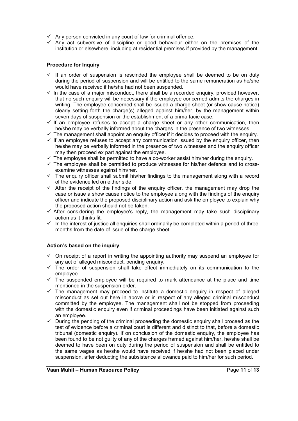- $\checkmark$  Any person convicted in any court of law for criminal offence.
- $\checkmark$  Any act subversive of discipline or good behaviour either on the premises of the institution or elsewhere, including at residential premises if provided by the management.

# **Procedure for Inquiry**

- $\checkmark$  If an order of suspension is rescinded the employee shall be deemed to be on duty during the period of suspension and will be entitled to the same remuneration as he/she would have received if he/she had not been suspended.
- $\checkmark$  In the case of a major misconduct, there shall be a recorded enquiry, provided however, that no such enquiry will be necessary if the employee concerned admits the charges in writing. The employee concerned shall be issued a charge sheet (or show cause notice) clearly setting forth the charge(s) alleged against him/her, by the management within seven days of suspension or the establishment of a prima facie case.
- $\checkmark$  If an employee refuses to accept a charge sheet or any other communication, then he/she may be verbally informed about the charges in the presence of two witnesses.
- $\checkmark$  The management shall appoint an enquiry officer if it decides to proceed with the enquiry.
- $\checkmark$  If an employee refuses to accept any communication issued by the enquiry officer, then he/she may be verbally informed in the presence of two witnesses and the enquiry officer may then proceed ex part against the employee.
- $\checkmark$  The employee shall be permitted to have a co-worker assist him/her during the enguiry.
- $\checkmark$  The employee shall be permitted to produce witnesses for his/her defence and to crossexamine witnesses against him/her.
- $\checkmark$  The enquiry officer shall submit his/her findings to the management along with a record of the evidence led on either side.
- $\checkmark$  After the receipt of the findings of the enquiry officer, the management may drop the case or issue a show cause notice to the employee along with the findings of the enquiry officer and indicate the proposed disciplinary action and ask the employee to explain why the proposed action should not be taken.
- $\checkmark$  After considering the employee's reply, the management may take such disciplinary action as it thinks fit.
- In the interest of justice all enquiries shall ordinarily be completed within a period of three months from the date of issue of the charge sheet.

# **Action's based on the inquiry**

- $\checkmark$  On receipt of a report in writing the appointing authority may suspend an employee for any act of alleged misconduct, pending enquiry.
- $\checkmark$  The order of suspension shall take effect immediately on its communication to the employee.
- $\checkmark$  The suspended employee will be required to mark attendance at the place and time mentioned in the suspension order.
- $\checkmark$  The management may proceed to institute a domestic enquiry in respect of alleged misconduct as set out here in above or in respect of any alleged criminal misconduct committed by the employee. The management shall not be stopped from proceeding with the domestic enquiry even if criminal proceedings have been initiated against such an employee.
- $\checkmark$  During the pending of the criminal proceeding the domestic enguiry shall proceed as the test of evidence before a criminal court is different and distinct to that, before a domestic tribunal (domestic enquiry). If on conclusion of the domestic enquiry, the employee has been found to be not guilty of any of the charges framed against him/her, he/she shall be deemed to have been on duty during the period of suspension and shall be entitled to the same wages as he/she would have received if he/she had not been placed under suspension, after deducting the subsistence allowance paid to him/her for such period.